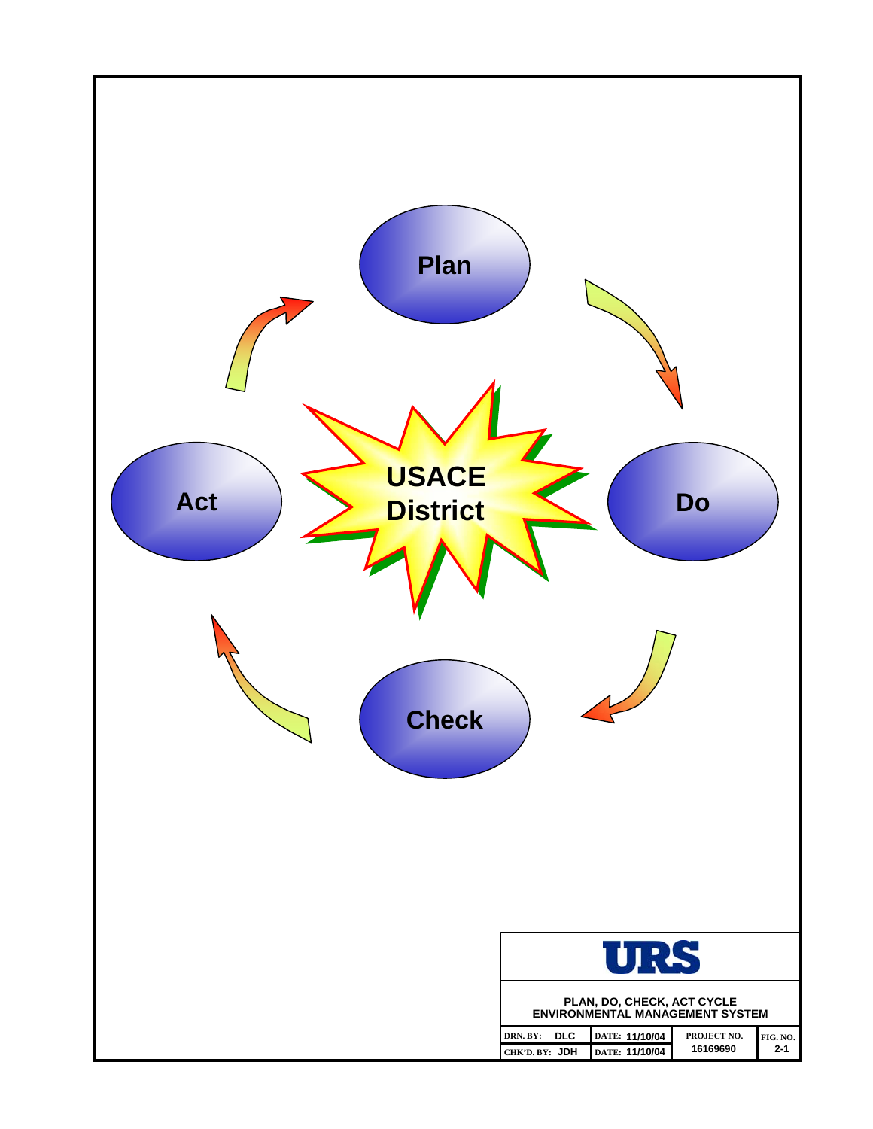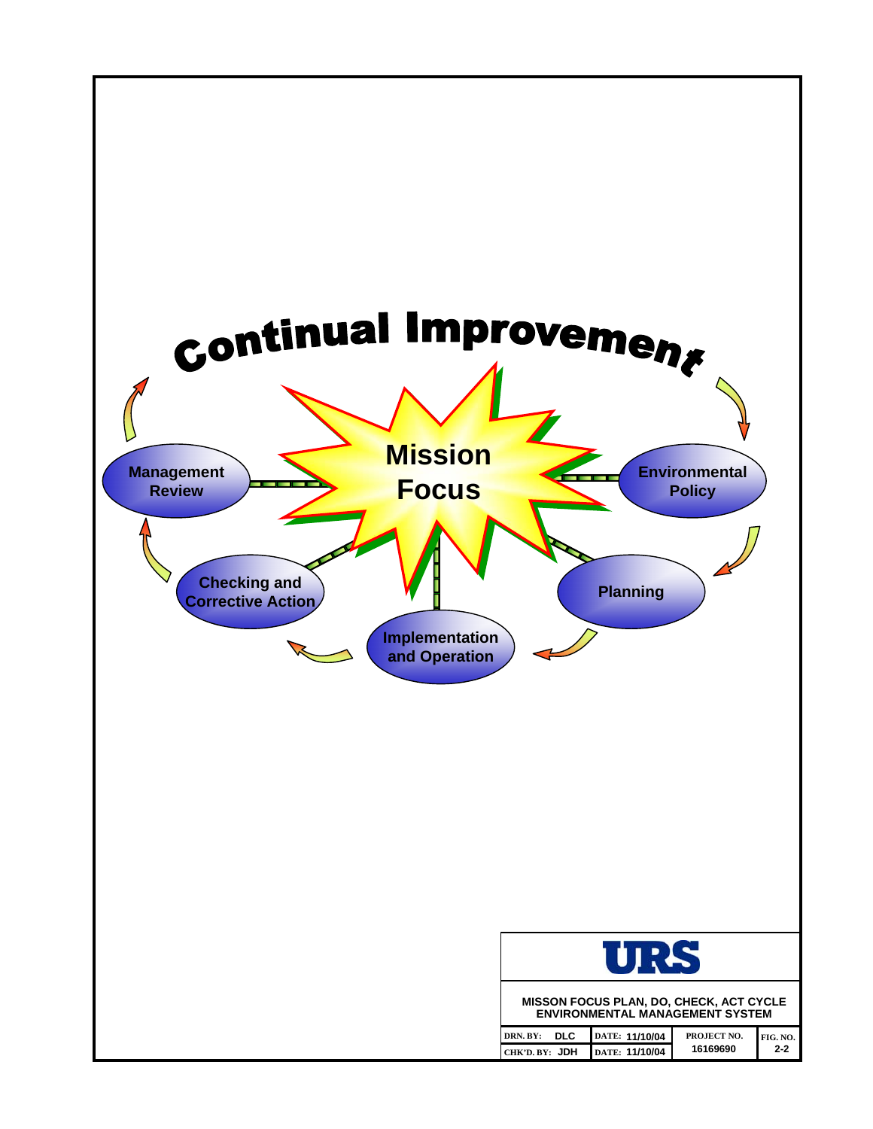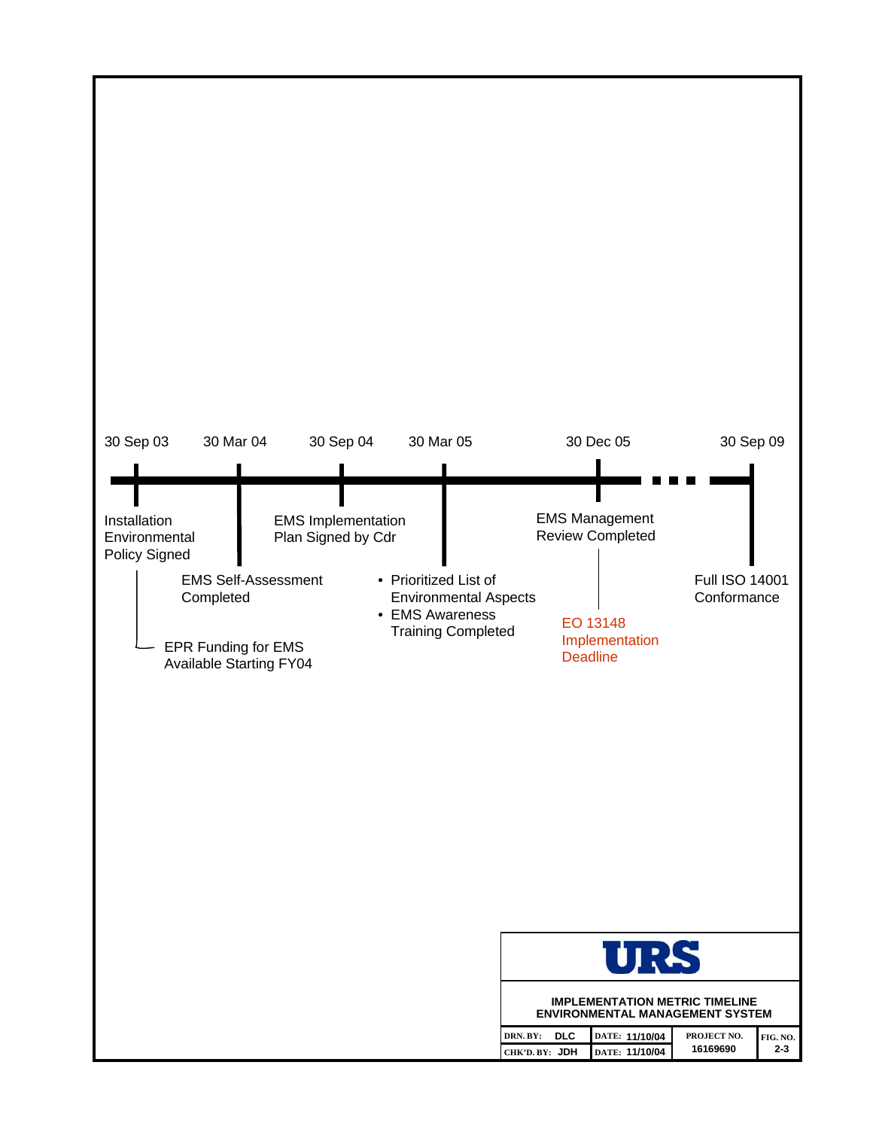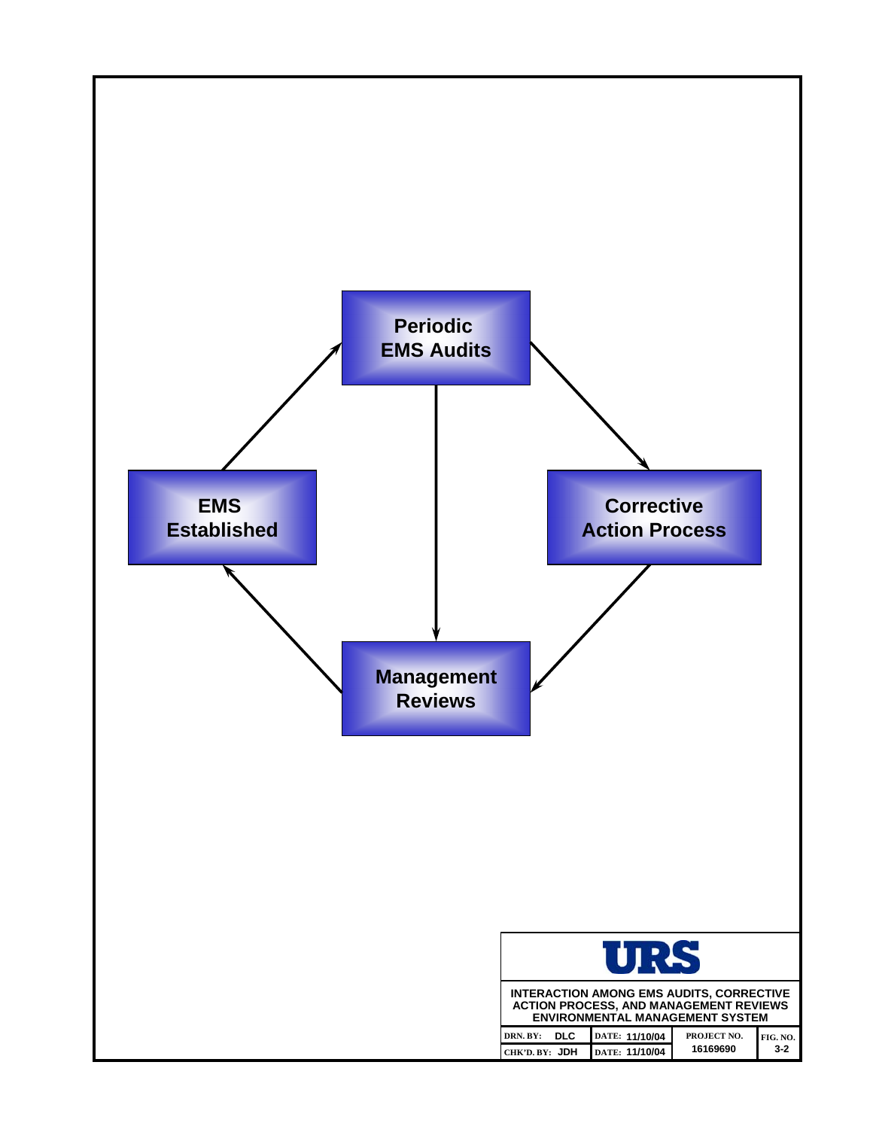